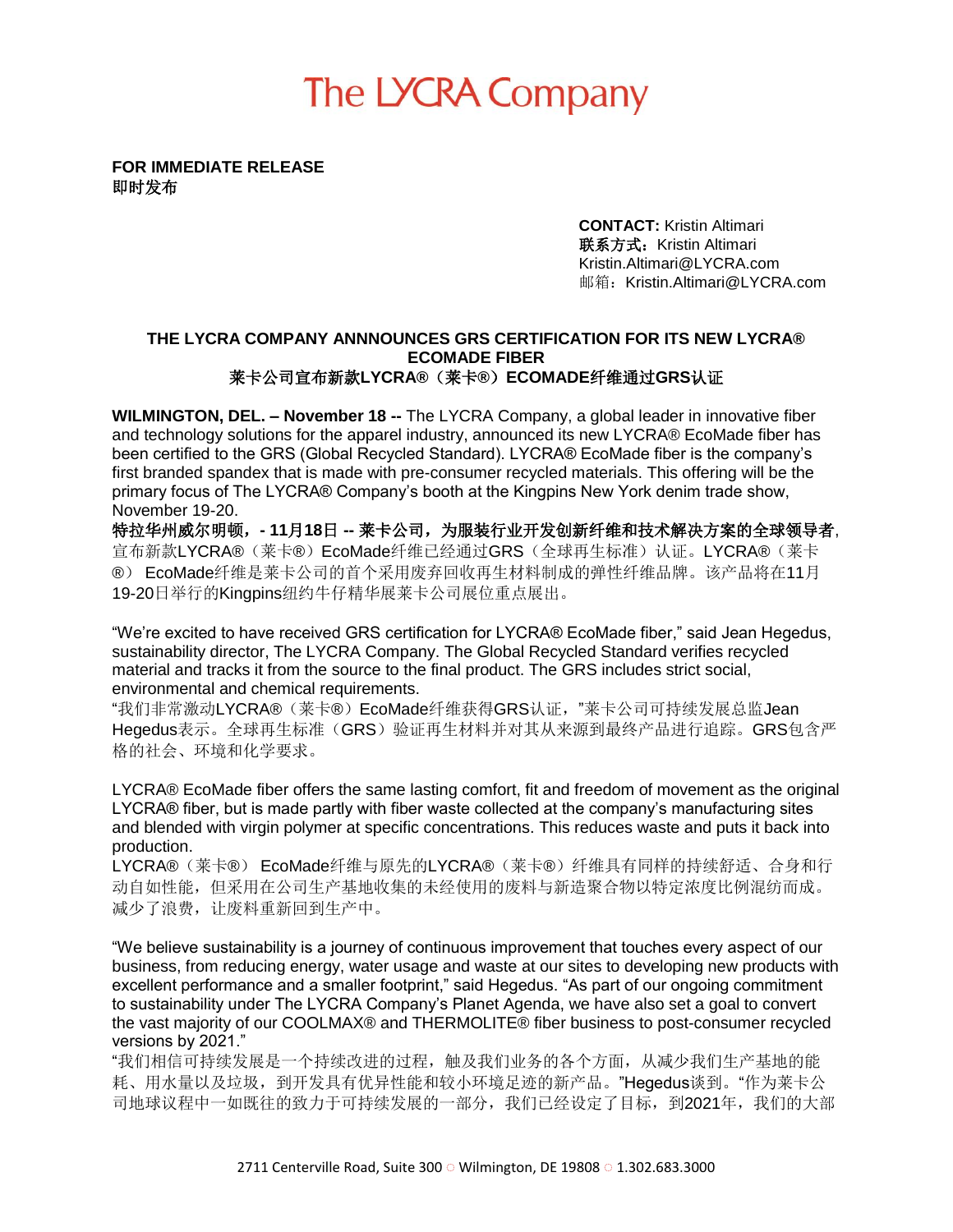## The LYCRA Company

**FOR IMMEDIATE RELEASE**  即时发布

> **CONTACT:** Kristin Altimari 联系方式: Kristin Altimari Kristin.Altimari@LYCRA.com 邮箱:Kristin.Altimari@LYCRA.com

## **THE LYCRA COMPANY ANNNOUNCES GRS CERTIFICATION FOR ITS NEW LYCRA® ECOMADE FIBER** 莱卡公司宣布新款**LYCRA®**(莱卡**®**)**ECOMADE**纤维通过**GRS**认证

**WILMINGTON, DEL. – November 18 --** The LYCRA Company, a global leader in innovative fiber and technology solutions for the apparel industry, announced its new LYCRA® EcoMade fiber has been certified to the GRS (Global Recycled Standard). LYCRA® EcoMade fiber is the company's first branded spandex that is made with pre-consumer recycled materials. This offering will be the primary focus of The LYCRA® Company's booth at the Kingpins New York denim trade show, November 19-20.

特拉华州威尔明顿,**- 11**月**18**日 **--** 莱卡公司,为服装行业开发创新纤维和技术解决方案的全球领导者, 宣布新款LYCRA®(莱卡®)EcoMade纤维已经通过GRS(全球再生标准)认证。LYCRA®(莱卡 ®) EcoMade纤维是莱卡公司的首个采用废弃回收再生材料制成的弹性纤维品牌。该产品将在11月 19-20日举行的Kingpins纽约牛仔精华展莱卡公司展位重点展出。

"We're excited to have received GRS certification for LYCRA® EcoMade fiber," said Jean Hegedus, sustainability director, The LYCRA Company. The Global Recycled Standard verifies recycled material and tracks it from the source to the final product. The GRS includes strict social, environmental and chemical requirements.

"我们非常激动LYCRA®(莱卡®)EcoMade纤维获得GRS认证, "莱卡公司可持续发展总监Jean **Hegedus**表示。全球再生标准(GRS)验证再生材料并对其从来源到最终产品进行追踪。GRS包含严 格的社会、环境和化学要求。

LYCRA® EcoMade fiber offers the same lasting comfort, fit and freedom of movement as the original LYCRA® fiber, but is made partly with fiber waste collected at the company's manufacturing sites and blended with virgin polymer at specific concentrations. This reduces waste and puts it back into production.

.<br>LYCRA®(莱卡®) EcoMade纤维与原先的LYCRA®(莱卡®)纤维具有同样的持续舒适、合身和行 动自如性能,但采用在公司生产基地收集的未经使用的废料与新造聚合物以特定浓度比例混纺而成。 减少了浪费,让废料重新回到生产中。

"We believe sustainability is a journey of continuous improvement that touches every aspect of our business, from reducing energy, water usage and waste at our sites to developing new products with excellent performance and a smaller footprint," said Hegedus. "As part of our ongoing commitment to sustainability under The LYCRA Company's Planet Agenda, we have also set a goal to convert the vast majority of our COOLMAX® and THERMOLITE® fiber business to post-consumer recycled versions by 2021."

"我们相信可持续发展是一个持续改进的过程,触及我们业务的各个方面,从减少我们生产基地的能 耗、用水量以及垃圾,到开发具有优异性能和较小环境足迹的新产品。"Hegedus谈到。"作为莱卡公 司地球议程中一如既往的致力于可持续发展的一部分,我们已经设定了目标,到2021年,我们的大部